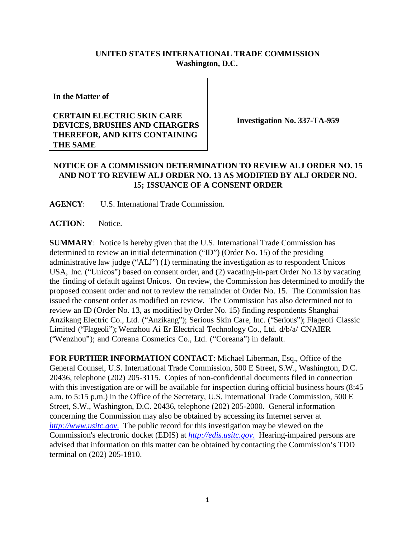## **UNITED STATES INTERNATIONAL TRADE COMMISSION Washington, D.C.**

**In the Matter of**

## **CERTAIN ELECTRIC SKIN CARE DEVICES, BRUSHES AND CHARGERS THEREFOR, AND KITS CONTAINING THE SAME**

**Investigation No. 337-TA-959**

## **NOTICE OF A COMMISSION DETERMINATION TO REVIEW ALJ ORDER NO. 15 AND NOT TO REVIEW ALJ ORDER NO. 13 AS MODIFIED BY ALJ ORDER NO. 15; ISSUANCE OF A CONSENT ORDER**

**AGENCY**: U.S. International Trade Commission.

ACTION: Notice.

**SUMMARY**: Notice is hereby given that the U.S. International Trade Commission has determined to review an initial determination ("ID") (Order No. 15) of the presiding administrative law judge ("ALJ") (1) terminating the investigation as to respondent Unicos USA, Inc. ("Unicos") based on consent order, and (2) vacating-in-part Order No.13 by vacating the finding of default against Unicos. On review, the Commission has determined to modify the proposed consent order and not to review the remainder of Order No. 15. The Commission has issued the consent order as modified on review. The Commission has also determined not to review an ID (Order No. 13, as modified by Order No. 15) finding respondents Shanghai Anzikang Electric Co., Ltd. ("Anzikang"); Serious Skin Care, Inc. ("Serious"); Flageoli Classic Limited ("Flageoli"); Wenzhou Ai Er Electrical Technology Co., Ltd. d/b/a/ CNAIER ("Wenzhou"); and Coreana Cosmetics Co., Ltd. ("Coreana") in default.

**FOR FURTHER INFORMATION CONTACT**: Michael Liberman, Esq., Office of the General Counsel, U.S. International Trade Commission, 500 E Street, S.W., Washington, D.C. 20436, telephone (202) 205-3115. Copies of non-confidential documents filed in connection with this investigation are or will be available for inspection during official business hours (8:45 a.m. to 5:15 p.m.) in the Office of the Secretary, U.S. International Trade Commission, 500 E Street, S.W., Washington, D.C. 20436, telephone (202) 205-2000. General information concerning the Commission may also be obtained by accessing its Internet server at *[http://www.usitc.gov](http://www.usitc.gov./)*. The public record for this investigation may be viewed on the Commission's electronic docket (EDIS) at *[http://edis.usitc.gov](http://edis.usitc.gov./)*. Hearing-impaired persons are advised that information on this matter can be obtained by contacting the Commission's TDD terminal on (202) 205-1810.